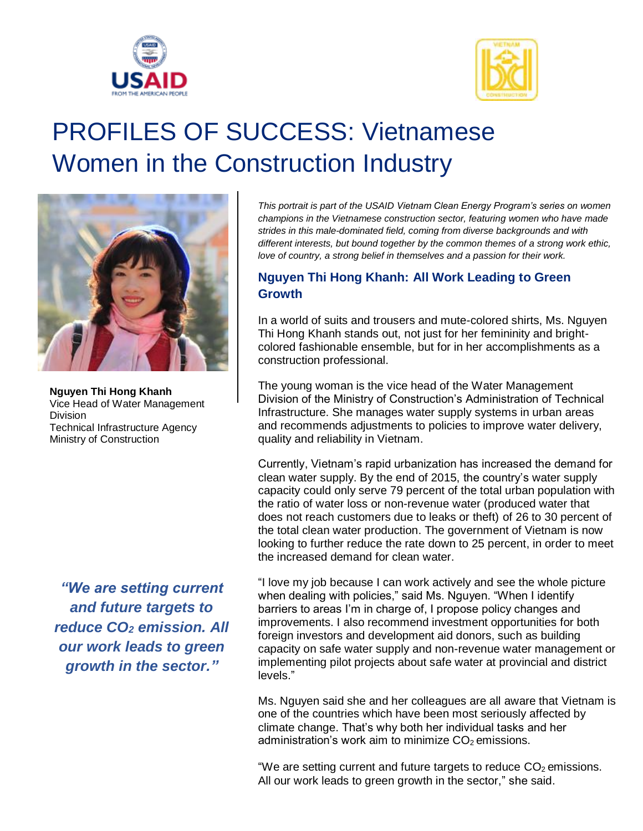



## PROFILES OF SUCCESS: Vietnamese Women in the Construction Industry



**Nguyen Thi Hong Khanh**  Vice Head of Water Management Division Technical Infrastructure Agency Ministry of Construction

*This portrait is part of the USAID Vietnam Clean Energy Program's series on women champions in the Vietnamese construction sector, featuring women who have made strides in this male-dominated field, coming from diverse backgrounds and with different interests, but bound together by the common themes of a strong work ethic, love of country, a strong belief in themselves and a passion for their work.*

## **Nguyen Thi Hong Khanh: All Work Leading to Green Growth**

In a world of suits and trousers and mute-colored shirts, Ms. Nguyen Thi Hong Khanh stands out, not just for her femininity and brightcolored fashionable ensemble, but for in her accomplishments as a construction professional.

The young woman is the vice head of the Water Management Division of the Ministry of Construction's Administration of Technical Infrastructure. She manages water supply systems in urban areas and recommends adjustments to policies to improve water delivery, quality and reliability in Vietnam.

Currently, Vietnam's rapid urbanization has increased the demand for clean water supply. By the end of 2015, the country's water supply capacity could only serve 79 percent of the total urban population with the ratio of water loss or non-revenue water (produced water that does not reach customers due to leaks or theft) of 26 to 30 percent of the total clean water production. The government of Vietnam is now looking to further reduce the rate down to 25 percent, in order to meet the increased demand for clean water.

*"We are setting current and future targets to reduce CO<sup>2</sup> emission. All our work leads to green growth in the sector."*

"I love my job because I can work actively and see the whole picture when dealing with policies," said Ms. Nguyen. "When I identify barriers to areas I'm in charge of, I propose policy changes and improvements. I also recommend investment opportunities for both foreign investors and development aid donors, such as building capacity on safe water supply and non-revenue water management or implementing pilot projects about safe water at provincial and district levels."

Ms. Nguyen said she and her colleagues are all aware that Vietnam is one of the countries which have been most seriously affected by climate change. That's why both her individual tasks and her administration's work aim to minimize  $CO<sub>2</sub>$  emissions.

"We are setting current and future targets to reduce  $CO<sub>2</sub>$  emissions. All our work leads to green growth in the sector," she said.